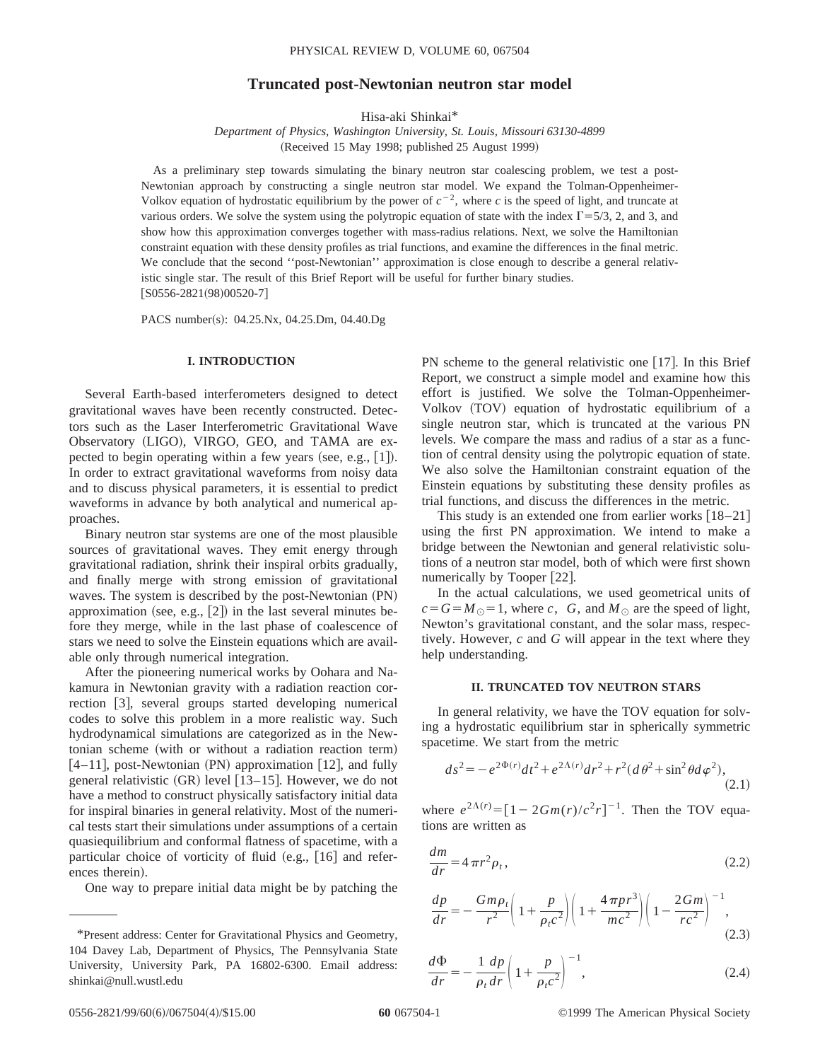# **Truncated post-Newtonian neutron star model**

Hisa-aki Shinkai\*

*Department of Physics, Washington University, St. Louis, Missouri 63130-4899* (Received 15 May 1998; published 25 August 1999)

As a preliminary step towards simulating the binary neutron star coalescing problem, we test a post-Newtonian approach by constructing a single neutron star model. We expand the Tolman-Oppenheimer-Volkov equation of hydrostatic equilibrium by the power of  $c^{-2}$ , where c is the speed of light, and truncate at various orders. We solve the system using the polytropic equation of state with the index  $\Gamma$ =5/3, 2, and 3, and show how this approximation converges together with mass-radius relations. Next, we solve the Hamiltonian constraint equation with these density profiles as trial functions, and examine the differences in the final metric. We conclude that the second ''post-Newtonian'' approximation is close enough to describe a general relativistic single star. The result of this Brief Report will be useful for further binary studies.  $[$ S0556-2821(98)00520-7]

PACS number(s): 04.25.Nx, 04.25.Dm, 04.40.Dg

### **I. INTRODUCTION**

Several Earth-based interferometers designed to detect gravitational waves have been recently constructed. Detectors such as the Laser Interferometric Gravitational Wave Observatory (LIGO), VIRGO, GEO, and TAMA are expected to begin operating within a few years (see, e.g.,  $[1]$ ). In order to extract gravitational waveforms from noisy data and to discuss physical parameters, it is essential to predict waveforms in advance by both analytical and numerical approaches.

Binary neutron star systems are one of the most plausible sources of gravitational waves. They emit energy through gravitational radiation, shrink their inspiral orbits gradually, and finally merge with strong emission of gravitational waves. The system is described by the post-Newtonian (PN) approximation (see, e.g.,  $[2]$ ) in the last several minutes before they merge, while in the last phase of coalescence of stars we need to solve the Einstein equations which are available only through numerical integration.

After the pioneering numerical works by Oohara and Nakamura in Newtonian gravity with a radiation reaction correction [3], several groups started developing numerical codes to solve this problem in a more realistic way. Such hydrodynamical simulations are categorized as in the Newtonian scheme (with or without a radiation reaction term)  $[4–11]$ , post-Newtonian (PN) approximation [12], and fully general relativistic  $(GR)$  level  $[13–15]$ . However, we do not have a method to construct physically satisfactory initial data for inspiral binaries in general relativity. Most of the numerical tests start their simulations under assumptions of a certain quasiequilibrium and conformal flatness of spacetime, with a particular choice of vorticity of fluid  $(e.g., [16]$  and references therein).

One way to prepare initial data might be by patching the

PN scheme to the general relativistic one  $[17]$ . In this Brief Report, we construct a simple model and examine how this effort is justified. We solve the Tolman-Oppenheimer-Volkov (TOV) equation of hydrostatic equilibrium of a single neutron star, which is truncated at the various PN levels. We compare the mass and radius of a star as a function of central density using the polytropic equation of state. We also solve the Hamiltonian constraint equation of the Einstein equations by substituting these density profiles as trial functions, and discuss the differences in the metric.

This study is an extended one from earlier works  $[18–21]$ using the first PN approximation. We intend to make a bridge between the Newtonian and general relativistic solutions of a neutron star model, both of which were first shown numerically by Tooper [22].

In the actual calculations, we used geometrical units of  $c = G = M_{\odot} = 1$ , where *c*, *G*, and  $M_{\odot}$  are the speed of light, Newton's gravitational constant, and the solar mass, respectively. However, *c* and *G* will appear in the text where they help understanding.

## **II. TRUNCATED TOV NEUTRON STARS**

In general relativity, we have the TOV equation for solving a hydrostatic equilibrium star in spherically symmetric spacetime. We start from the metric

$$
ds^{2} = -e^{2\Phi(r)}dt^{2} + e^{2\Lambda(r)}dr^{2} + r^{2}(d\theta^{2} + \sin^{2}\theta d\varphi^{2}),
$$
\n(2.1)

where  $e^{2\Lambda(r)} = [1 - 2Gm(r)/c^2r]^{-1}$ . Then the TOV equations are written as

$$
\frac{dm}{dr} = 4\pi r^2 \rho_t,\tag{2.2}
$$

$$
\frac{dp}{dr} = -\frac{Gm\rho_t}{r^2} \left( 1 + \frac{p}{\rho_t c^2} \right) \left( 1 + \frac{4\pi pr^3}{mc^2} \right) \left( 1 - \frac{2Gm}{rc^2} \right)^{-1},\tag{2.3}
$$

$$
\frac{d\Phi}{dr} = -\frac{1}{\rho_t dr} \left( 1 + \frac{p}{\rho_t c^2} \right)^{-1},\tag{2.4}
$$

<sup>\*</sup>Present address: Center for Gravitational Physics and Geometry, 104 Davey Lab, Department of Physics, The Pennsylvania State University, University Park, PA 16802-6300. Email address: shinkai@null.wustl.edu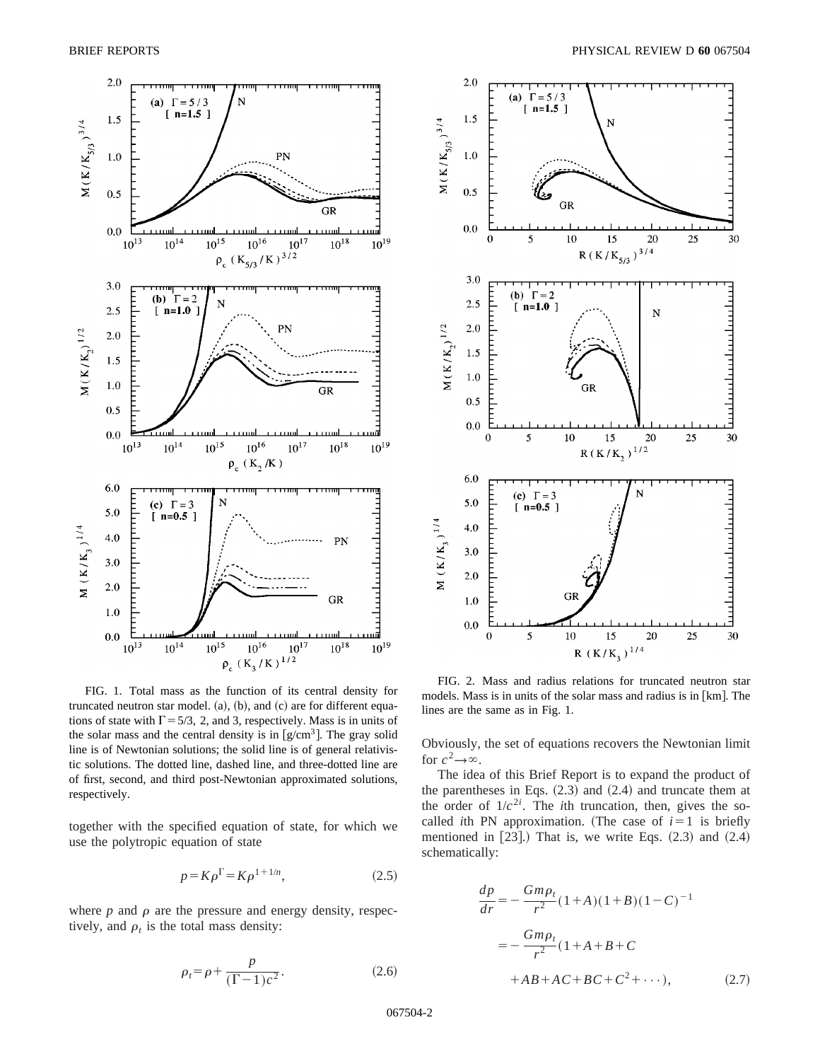

FIG. 1. Total mass as the function of its central density for truncated neutron star model.  $(a)$ ,  $(b)$ , and  $(c)$  are for different equations of state with  $\Gamma$  = 5/3, 2, and 3, respectively. Mass is in units of the solar mass and the central density is in  $\lceil g/cm^3 \rceil$ . The gray solid line is of Newtonian solutions; the solid line is of general relativistic solutions. The dotted line, dashed line, and three-dotted line are of first, second, and third post-Newtonian approximated solutions, respectively.

together with the specified equation of state, for which we use the polytropic equation of state

$$
p = K\rho^{\Gamma} = K\rho^{1+1/n},\tag{2.5}
$$

where  $p$  and  $\rho$  are the pressure and energy density, respectively, and  $\rho_t$  is the total mass density:

$$
\rho_t = \rho + \frac{p}{(\Gamma - 1)c^2}.
$$
\n(2.6)



FIG. 2. Mass and radius relations for truncated neutron star models. Mass is in units of the solar mass and radius is in  $[km]$ . The lines are the same as in Fig. 1.

Obviously, the set of equations recovers the Newtonian limit for  $c^2 \rightarrow \infty$ .

The idea of this Brief Report is to expand the product of the parentheses in Eqs.  $(2.3)$  and  $(2.4)$  and truncate them at the order of  $1/c^{2i}$ . The *i*th truncation, then, gives the socalled *i*th PN approximation. (The case of  $i=1$  is briefly mentioned in  $[23]$ .) That is, we write Eqs.  $(2.3)$  and  $(2.4)$ schematically:

$$
\frac{dp}{dr} = -\frac{Gm\rho_t}{r^2}(1+A)(1+B)(1-C)^{-1}
$$

$$
= -\frac{Gm\rho_t}{r^2}(1+A+B+C)
$$

$$
+AB+AC+BC+C^2+\cdots), \qquad (2.7)
$$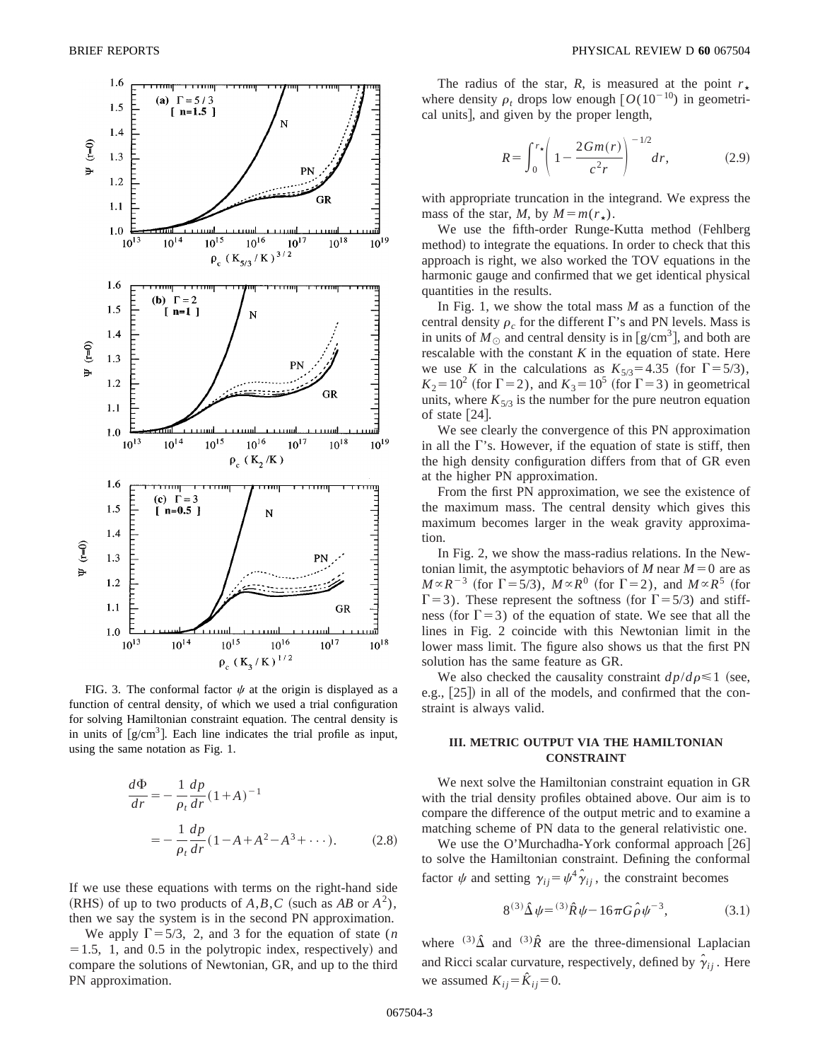

FIG. 3. The conformal factor  $\psi$  at the origin is displayed as a function of central density, of which we used a trial configuration for solving Hamiltonian constraint equation. The central density is in units of  $[g/cm<sup>3</sup>$ . Each line indicates the trial profile as input, using the same notation as Fig. 1.

$$
\frac{d\Phi}{dr} = -\frac{1}{\rho_t} \frac{dp}{dr} (1 + A)^{-1}
$$

$$
= -\frac{1}{\rho_t} \frac{dp}{dr} (1 - A + A^2 - A^3 + \cdots). \tag{2.8}
$$

If we use these equations with terms on the right-hand side (RHS) of up to two products of  $A$ ,  $B$ ,  $C$  (such as  $AB$  or  $A^2$ ), then we say the system is in the second PN approximation.

We apply  $\Gamma$ =5/3, 2, and 3 for the equation of state (*n*  $=1.5$ , 1, and 0.5 in the polytropic index, respectively) and compare the solutions of Newtonian, GR, and up to the third PN approximation.

The radius of the star, *R*, is measured at the point  $r_{\star}$ where density  $\rho_t$  drops low enough  $\lceil O(10^{-10}) \rceil$  in geometrical units], and given by the proper length,

$$
R = \int_0^{r_{\star}} \left( 1 - \frac{2Gm(r)}{c^2 r} \right)^{-1/2} dr, \tag{2.9}
$$

with appropriate truncation in the integrand. We express the mass of the star, *M*, by  $M = m(r_{\star})$ .

We use the fifth-order Runge-Kutta method (Fehlberg method) to integrate the equations. In order to check that this approach is right, we also worked the TOV equations in the harmonic gauge and confirmed that we get identical physical quantities in the results.

In Fig. 1, we show the total mass *M* as a function of the central density  $\rho_c$  for the different  $\Gamma$ 's and PN levels. Mass is in units of  $M_{\odot}$  and central density is in [g/cm<sup>3</sup>], and both are rescalable with the constant  $K$  in the equation of state. Here we use *K* in the calculations as  $K_{5/3} = 4.35$  (for  $\Gamma = 5/3$ ),  $K_2 = 10^2$  (for  $\Gamma = 2$ ), and  $K_3 = 10^5$  (for  $\Gamma = 3$ ) in geometrical units, where  $K_{5/3}$  is the number for the pure neutron equation of state  $[24]$ .

We see clearly the convergence of this PN approximation in all the  $\Gamma$ 's. However, if the equation of state is stiff, then the high density configuration differs from that of GR even at the higher PN approximation.

From the first PN approximation, we see the existence of the maximum mass. The central density which gives this maximum becomes larger in the weak gravity approximation.

In Fig. 2, we show the mass-radius relations. In the Newtonian limit, the asymptotic behaviors of *M* near  $M=0$  are as  $M \propto R^{-3}$  (for  $\Gamma$  = 5/3),  $M \propto R^{0}$  (for  $\Gamma$  = 2), and  $M \propto R^{5}$  (for  $\Gamma$ =3). These represent the softness (for  $\Gamma$ =5/3) and stiffness (for  $\Gamma$ =3) of the equation of state. We see that all the lines in Fig. 2 coincide with this Newtonian limit in the lower mass limit. The figure also shows us that the first PN solution has the same feature as GR.

We also checked the causality constraint  $dp/d\rho \leq 1$  (see, e.g., [25]) in all of the models, and confirmed that the constraint is always valid.

## **III. METRIC OUTPUT VIA THE HAMILTONIAN CONSTRAINT**

We next solve the Hamiltonian constraint equation in GR with the trial density profiles obtained above. Our aim is to compare the difference of the output metric and to examine a matching scheme of PN data to the general relativistic one.

We use the O'Murchadha-York conformal approach  $[26]$ to solve the Hamiltonian constraint. Defining the conformal factor  $\psi$  and setting  $\gamma_{ij} = \psi^4 \hat{\gamma}_{ij}$ , the constraint becomes

$$
8^{(3)}\hat{\Delta}\psi = {}^{(3)}\hat{R}\psi - 16\pi G \hat{\rho}\psi^{-3}, \tag{3.1}
$$

where <sup>(3)</sup> $\hat{\Delta}$  and <sup>(3)</sup> $\hat{R}$  are the three-dimensional Laplacian and Ricci scalar curvature, respectively, defined by  $\hat{\gamma}_{ij}$ . Here we assumed  $K_{ii} = \hat{K}_{ii} = 0$ .